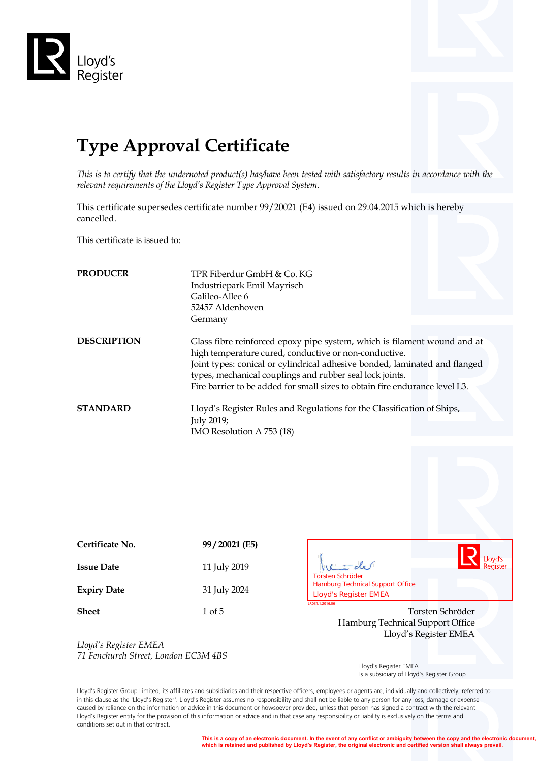

# **Type Approval Certificate**

*This is to certify that the undernoted product(s) has/have been tested with satisfactory results in accordance with the relevant requirements of the Lloyd's Register Type Approval System.*

This certificate supersedes certificate number 99/20021 (E4) issued on 29.04.2015 which is hereby cancelled.

This certificate is issued to:

| <b>PRODUCER</b>    | TPR Fiberdur GmbH & Co. KG<br>Industriepark Emil Mayrisch<br>Galileo-Allee 6<br>52457 Aldenhoven<br>Germany                                                                                                                                                                                                                                                |
|--------------------|------------------------------------------------------------------------------------------------------------------------------------------------------------------------------------------------------------------------------------------------------------------------------------------------------------------------------------------------------------|
| <b>DESCRIPTION</b> | Glass fibre reinforced epoxy pipe system, which is filament wound and at<br>high temperature cured, conductive or non-conductive.<br>Joint types: conical or cylindrical adhesive bonded, laminated and flanged<br>types, mechanical couplings and rubber seal lock joints.<br>Fire barrier to be added for small sizes to obtain fire endurance level L3. |
| <b>STANDARD</b>    | Lloyd's Register Rules and Regulations for the Classification of Ships,<br>July 2019;<br>IMO Resolution A 753 (18)                                                                                                                                                                                                                                         |

| Certificate No.    | 99/20021 (E5) |
|--------------------|---------------|
| <b>Issue Date</b>  | 11 July 2019  |
| <b>Expiry Date</b> | 31 July 2024  |
| $\sim$             |               |



**Sheet** 1 of 5 1 of 5 Torsten Schröder Hamburg Technical Support Office Lloyd's Register EMEA

*Lloyd's Register EMEA 71 Fenchurch Street, London EC3M 4BS*

 Lloyd's Register EMEA Is a subsidiary of Lloyd's Register Group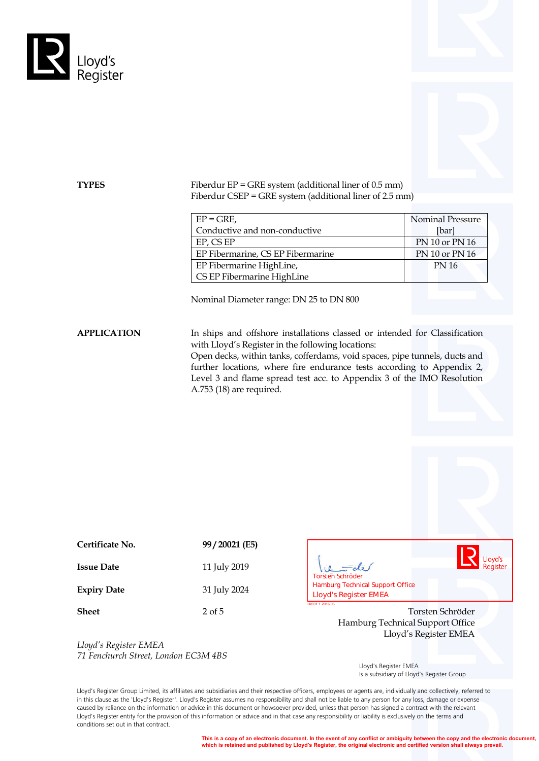



**TYPES** Fiberdur EP = GRE system (additional liner of 0.5 mm) Fiberdur CSEP = GRE system (additional liner of 2.5 mm)

| $EP = GRE$ ,                      | <b>Nominal Pressure</b> |
|-----------------------------------|-------------------------|
| Conductive and non-conductive     | [bar]                   |
| EP, CS EP                         | PN 10 or PN 16          |
| EP Fibermarine, CS EP Fibermarine | PN 10 or PN 16          |
| EP Fibermarine HighLine,          | <b>PN 16</b>            |
| CS EP Fibermarine HighLine        |                         |

Nominal Diameter range: DN 25 to DN 800

APPLICATION In ships and offshore installations classed or intended for Classification with Lloyd's Register in the following locations:

> Open decks, within tanks, cofferdams, void spaces, pipe tunnels, ducts and further locations, where fire endurance tests according to Appendix 2, Level 3 and flame spread test acc. to Appendix 3 of the IMO Resolution A.753 (18) are required.

| Certificate No.    | 99/20021 (E5) |
|--------------------|---------------|
| <b>Issue Date</b>  | 11 July 2019  |
| <b>Expiry Date</b> | 31 July 2024  |

Lloyd's <u>-</u> de Register  $10$ **LACTER Schröder<br>
<b>Lamburg Technical Support Office**<br> **Lloyd's Register EMEA** 

**Sheet** 2 of 5 2 of 5 Torsten Schröder Hamburg Technical Support Office Lloyd's Register EMEA

*Lloyd's Register EMEA 71 Fenchurch Street, London EC3M 4BS*

 Lloyd's Register EMEA Is a subsidiary of Lloyd's Register Group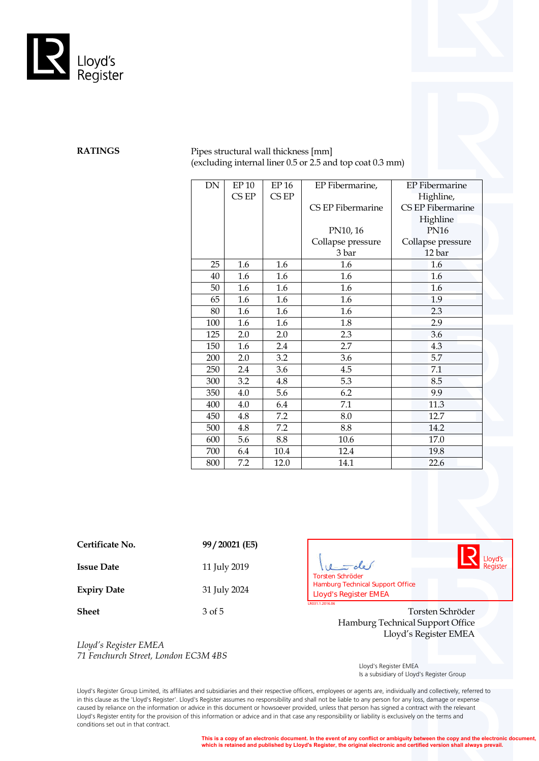

## **RATINGS** Pipes structural wall thickness [mm] (excluding internal liner 0.5 or 2.5 and top coat 0.3 mm)

| <b>DN</b> | EP <sub>10</sub> | EP 16 | EP Fibermarine,   | <b>EP</b> Fibermarine |
|-----------|------------------|-------|-------------------|-----------------------|
|           | CS EP            | CSEP  |                   | Highline,             |
|           |                  |       | CS EP Fibermarine | CS EP Fibermarine     |
|           |                  |       |                   | Highline              |
|           |                  |       | PN10, 16          | <b>PN16</b>           |
|           |                  |       | Collapse pressure | Collapse pressure     |
|           |                  |       | 3 bar             | 12 bar                |
| 25        | 1.6              | 1.6   | 1.6               | 1.6                   |
| 40        | 1.6              | 1.6   | 1.6               | 1.6                   |
| 50        | 1.6              | 1.6   | 1.6               | 1.6                   |
| 65        | 1.6              | 1.6   | 1.6               | 1.9                   |
| 80        | 1.6              | 1.6   | 1.6               | 2.3                   |
| 100       | 1.6              | 1.6   | 1.8               | 2.9                   |
| 125       | 2.0              | 2.0   | 2.3               | 3.6                   |
| 150       | 1.6              | 2.4   | 2.7               | 4.3                   |
| 200       | 2.0              | 3.2   | 3.6               | 5.7                   |
| 250       | 2.4              | 3.6   | 4.5               | 7.1                   |
| 300       | 3.2              | 4.8   | 5.3               | 8.5                   |
| 350       | 4.0              | 5.6   | 6.2               | 9.9                   |
| 400       | 4.0              | 6.4   | 7.1               | 11.3                  |
| 450       | 4.8              | 7.2   | 8.0               | 12.7                  |
| 500       | 4.8              | 7.2   | 8.8               | 14.2                  |
| 600       | 5.6              | 8.8   | 10.6              | 17.0                  |
| 700       | 6.4              | 10.4  | 12.4              | 19.8                  |
| 800       | 7.2              | 12.0  | 14.1              | 22.6                  |

**Certificate No. 99 / 20021 (E5)**

**Issue Date** 11 July 2019

**Expiry Date** 31 July 2024

*Lloyd's Register EMEA 71 Fenchurch Street, London EC3M 4BS*

Lloyd's<br>Register  $=$ de  $10$ **LACTE LAND TO CONTROO ENEXAMPLE Hamburg Technical Support Office**<br> **LIoyd's Register EMEA** 

**Sheet** 3 of 5 3 of 5 3 Organization 3 of 5 3 Organization 3 of 5 3 Organization 3 of 5 3 Organization 3 Organization 3 Organization 3 Organization 3 Organization 3 Organization 3 Organization 3 Organization 3 Organization Hamburg Technical Support Office Lloyd's Register EMEA

> Lloyd's Register EMEA Is a subsidiary of Lloyd's Register Group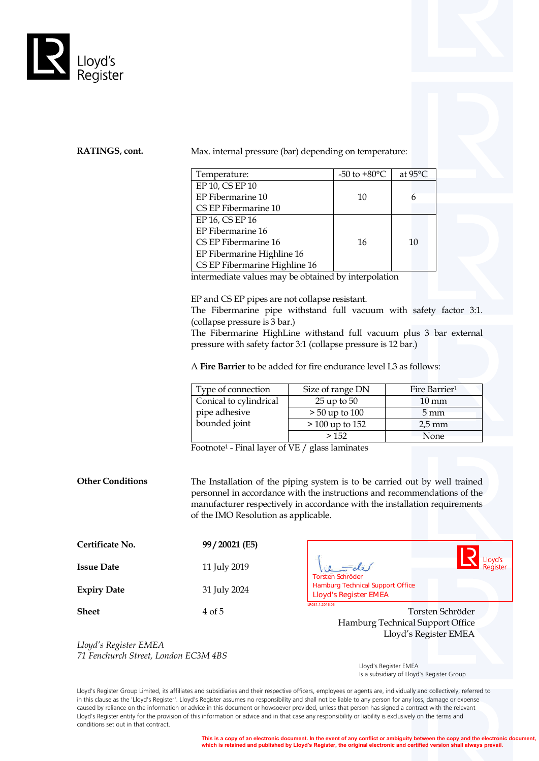

### **RATINGS, cont.** Max. internal pressure (bar) depending on temperature:

| Temperature:                  | -50 to $+80^{\circ}$ C | at $95^{\circ}$ C |
|-------------------------------|------------------------|-------------------|
| EP 10, CS EP 10               |                        |                   |
| EP Fibermarine 10             | 10                     |                   |
| CS EP Fibermarine 10          |                        |                   |
| EP 16, CS EP 16               |                        |                   |
| EP Fibermarine 16             |                        |                   |
| CS EP Fibermarine 16          | 16                     | 10                |
| EP Fibermarine Highline 16    |                        |                   |
| CS EP Fibermarine Highline 16 |                        |                   |

intermediate values may be obtained by interpolation

EP and CS EP pipes are not collapse resistant.

The Fibermarine pipe withstand full vacuum with safety factor 3:1. (collapse pressure is 3 bar.)

The Fibermarine HighLine withstand full vacuum plus 3 bar external pressure with safety factor 3:1 (collapse pressure is 12 bar.)

A **Fire Barrier** to be added for fire endurance level L3 as follows:

| Type of connection     | Size of range DN  | Fire Barrier <sup>1</sup> |
|------------------------|-------------------|---------------------------|
| Conical to cylindrical | $25$ up to $50$   | $10 \text{ mm}$           |
| pipe adhesive          | $> 50$ up to 100  | $5 \,\mathrm{mm}$         |
| bounded joint          | $> 100$ up to 152 | $2.5 \,\mathrm{mm}$       |
|                        | >152              | None                      |

Footnote1 - Final layer of VE / glass laminates

**Other Conditions** The Installation of the piping system is to be carried out by well trained personnel in accordance with the instructions and recommendations of the manufacturer respectively in accordance with the installation requirements of the IMO Resolution as applicable.

| Certificate No.    | 99/20021 (E5) |
|--------------------|---------------|
| <b>Issue Date</b>  | 11 July 2019  |
| <b>Expiry Date</b> | 31 July 2024  |
|                    |               |

Lloyd's Register <u>-</u> de **LATRON TOTATE:**<br>1.1.2019.1.2019.1.2019.1.2019.1.2019.1.2019<br>1.2019.1.2019.1.2019.1.2019.1.2019.1.2019.1.2019.1.2019.1.2019.1.2019.1.2019.1.2019.1.2019.1.2019.1.2019.1.20

**Sheet** 4 of 5 4 of 5 Torsten Schröder Hamburg Technical Support Office Lloyd's Register EMEA

*Lloyd's Register EMEA 71 Fenchurch Street, London EC3M 4BS*

 Lloyd's Register EMEA Is a subsidiary of Lloyd's Register Group